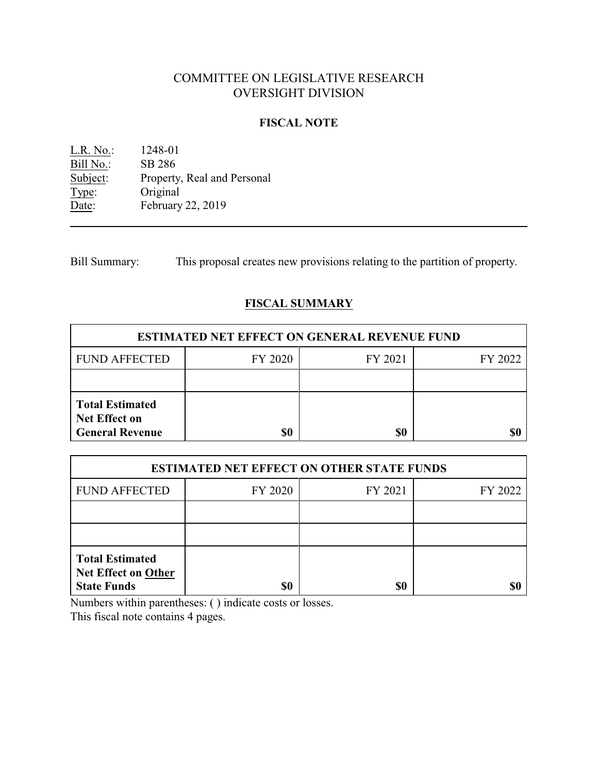# COMMITTEE ON LEGISLATIVE RESEARCH OVERSIGHT DIVISION

### **FISCAL NOTE**

L.R. No.: 1248-01 Bill No.: SB 286<br>Subject: Property Property, Real and Personal Type: Original Date: February 22, 2019

Bill Summary: This proposal creates new provisions relating to the partition of property.

## **FISCAL SUMMARY**

| <b>ESTIMATED NET EFFECT ON GENERAL REVENUE FUND</b>                      |         |         |         |  |
|--------------------------------------------------------------------------|---------|---------|---------|--|
| <b>FUND AFFECTED</b>                                                     | FY 2020 | FY 2021 | FY 2022 |  |
|                                                                          |         |         |         |  |
| <b>Total Estimated</b><br><b>Net Effect on</b><br><b>General Revenue</b> |         | \$0     |         |  |

| <b>ESTIMATED NET EFFECT ON OTHER STATE FUNDS</b>                           |         |         |         |  |
|----------------------------------------------------------------------------|---------|---------|---------|--|
| <b>FUND AFFECTED</b>                                                       | FY 2020 | FY 2021 | FY 2022 |  |
|                                                                            |         |         |         |  |
|                                                                            |         |         |         |  |
| <b>Total Estimated</b><br><b>Net Effect on Other</b><br><b>State Funds</b> | \$0     | \$0     |         |  |

Numbers within parentheses: ( ) indicate costs or losses.

This fiscal note contains 4 pages.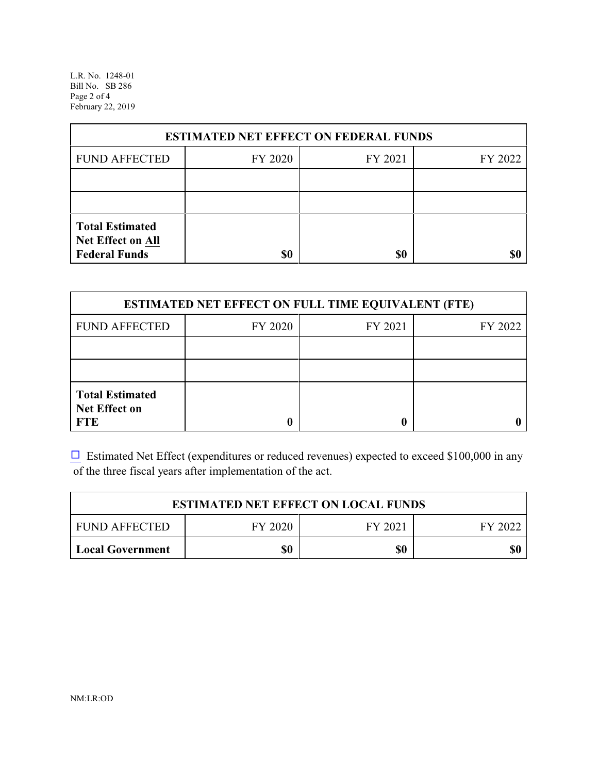L.R. No. 1248-01 Bill No. SB 286 Page 2 of 4 February 22, 2019

| <b>ESTIMATED NET EFFECT ON FEDERAL FUNDS</b>                        |         |         |         |  |
|---------------------------------------------------------------------|---------|---------|---------|--|
| <b>FUND AFFECTED</b>                                                | FY 2020 | FY 2021 | FY 2022 |  |
|                                                                     |         |         |         |  |
|                                                                     |         |         |         |  |
| <b>Total Estimated</b><br>Net Effect on All<br><b>Federal Funds</b> | \$0     | \$0     |         |  |

| <b>ESTIMATED NET EFFECT ON FULL TIME EQUIVALENT (FTE)</b>    |         |         |         |  |
|--------------------------------------------------------------|---------|---------|---------|--|
| <b>FUND AFFECTED</b>                                         | FY 2020 | FY 2021 | FY 2022 |  |
|                                                              |         |         |         |  |
|                                                              |         |         |         |  |
| <b>Total Estimated</b><br><b>Net Effect on</b><br><b>FTE</b> |         |         |         |  |

 $\Box$  Estimated Net Effect (expenditures or reduced revenues) expected to exceed \$100,000 in any of the three fiscal years after implementation of the act.

| <b>ESTIMATED NET EFFECT ON LOCAL FUNDS</b> |         |         |         |  |
|--------------------------------------------|---------|---------|---------|--|
| <b>FUND AFFECTED</b>                       | FY 2020 | FY 2021 | FY 2022 |  |
| Local Government                           | \$0     | \$0     | \$0     |  |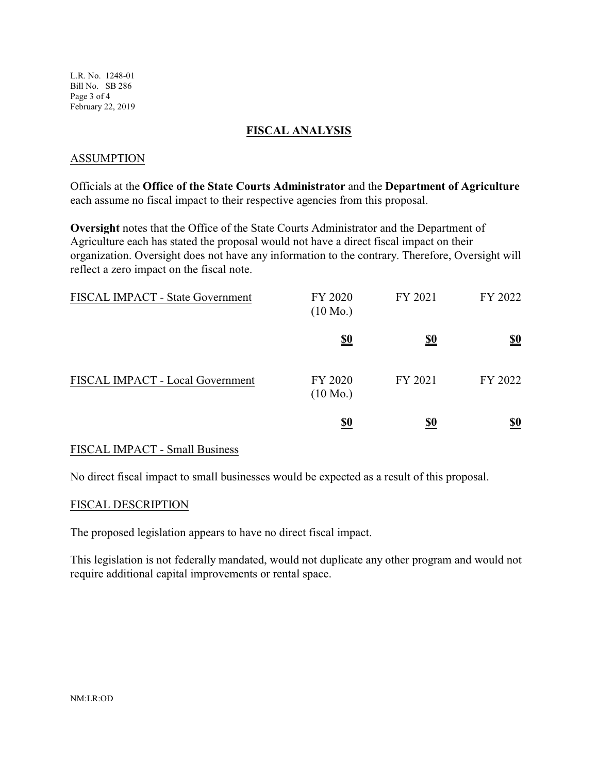L.R. No. 1248-01 Bill No. SB 286 Page 3 of 4 February 22, 2019

### **FISCAL ANALYSIS**

### ASSUMPTION

Officials at the **Office of the State Courts Administrator** and the **Department of Agriculture** each assume no fiscal impact to their respective agencies from this proposal.

**Oversight** notes that the Office of the State Courts Administrator and the Department of Agriculture each has stated the proposal would not have a direct fiscal impact on their organization. Oversight does not have any information to the contrary. Therefore, Oversight will reflect a zero impact on the fiscal note.

| FISCAL IMPACT - State Government | FY 2020<br>$(10 \text{ Mo.})$ | FY 2021    | FY 2022                       |
|----------------------------------|-------------------------------|------------|-------------------------------|
|                                  | $\underline{\underline{\$0}}$ | <u>\$0</u> | $\underline{\underline{\$0}}$ |
| FISCAL IMPACT - Local Government | FY 2020<br>$(10 \text{ Mo.})$ | FY 2021    | FY 2022                       |
|                                  | <u>\$0</u>                    | <u>\$0</u> | <u>\$0</u>                    |

#### FISCAL IMPACT - Small Business

No direct fiscal impact to small businesses would be expected as a result of this proposal.

#### FISCAL DESCRIPTION

The proposed legislation appears to have no direct fiscal impact.

This legislation is not federally mandated, would not duplicate any other program and would not require additional capital improvements or rental space.